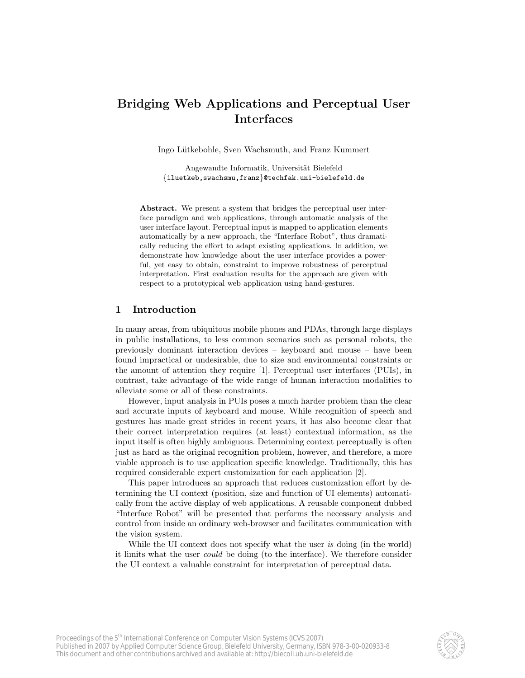# Bridging Web Applications and Perceptual User Interfaces

Ingo L¨utkebohle, Sven Wachsmuth, and Franz Kummert

Angewandte Informatik, Universität Bielefeld {iluetkeb,swachsmu,franz}@techfak.uni-bielefeld.de

Abstract. We present a system that bridges the perceptual user interface paradigm and web applications, through automatic analysis of the user interface layout. Perceptual input is mapped to application elements automatically by a new approach, the "Interface Robot", thus dramatically reducing the effort to adapt existing applications. In addition, we demonstrate how knowledge about the user interface provides a powerful, yet easy to obtain, constraint to improve robustness of perceptual interpretation. First evaluation results for the approach are given with respect to a prototypical web application using hand-gestures.

# 1 Introduction

In many areas, from ubiquitous mobile phones and PDAs, through large displays in public installations, to less common scenarios such as personal robots, the previously dominant interaction devices – keyboard and mouse – have been found impractical or undesirable, due to size and environmental constraints or the amount of attention they require [1]. Perceptual user interfaces (PUIs), in contrast, take advantage of the wide range of human interaction modalities to alleviate some or all of these constraints.

However, input analysis in PUIs poses a much harder problem than the clear and accurate inputs of keyboard and mouse. While recognition of speech and gestures has made great strides in recent years, it has also become clear that their correct interpretation requires (at least) contextual information, as the input itself is often highly ambiguous. Determining context perceptually is often just as hard as the original recognition problem, however, and therefore, a more viable approach is to use application specific knowledge. Traditionally, this has required considerable expert customization for each application [2].

This paper introduces an approach that reduces customization effort by determining the UI context (position, size and function of UI elements) automatically from the active display of web applications. A reusable component dubbed "Interface Robot" will be presented that performs the necessary analysis and control from inside an ordinary web-browser and facilitates communication with the vision system.

While the UI context does not specify what the user is doing (in the world) it limits what the user could be doing (to the interface). We therefore consider the UI context a valuable constraint for interpretation of perceptual data.

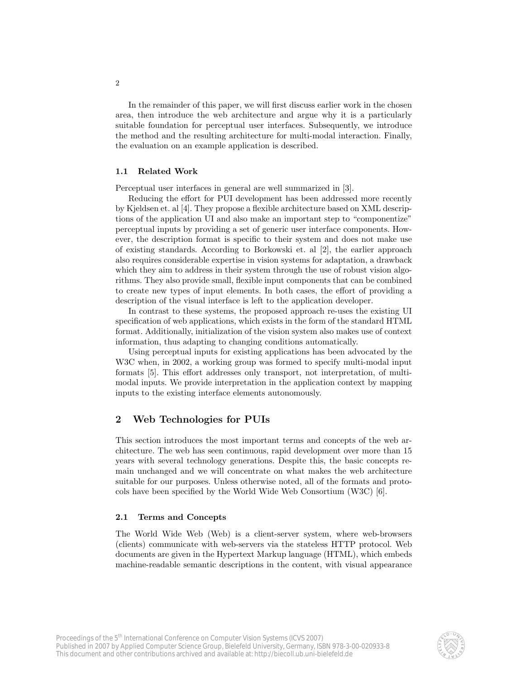In the remainder of this paper, we will first discuss earlier work in the chosen area, then introduce the web architecture and argue why it is a particularly suitable foundation for perceptual user interfaces. Subsequently, we introduce the method and the resulting architecture for multi-modal interaction. Finally, the evaluation on an example application is described.

#### 1.1 Related Work

Perceptual user interfaces in general are well summarized in [3].

Reducing the effort for PUI development has been addressed more recently by Kjeldsen et. al [4]. They propose a flexible architecture based on XML descriptions of the application UI and also make an important step to "componentize" perceptual inputs by providing a set of generic user interface components. However, the description format is specific to their system and does not make use of existing standards. According to Borkowski et. al [2], the earlier approach also requires considerable expertise in vision systems for adaptation, a drawback which they aim to address in their system through the use of robust vision algorithms. They also provide small, flexible input components that can be combined to create new types of input elements. In both cases, the effort of providing a description of the visual interface is left to the application developer.

In contrast to these systems, the proposed approach re-uses the existing UI specification of web applications, which exists in the form of the standard HTML format. Additionally, initialization of the vision system also makes use of context information, thus adapting to changing conditions automatically.

Using perceptual inputs for existing applications has been advocated by the W3C when, in 2002, a working group was formed to specify multi-modal input formats [5]. This effort addresses only transport, not interpretation, of multimodal inputs. We provide interpretation in the application context by mapping inputs to the existing interface elements autonomously.

# 2 Web Technologies for PUIs

This section introduces the most important terms and concepts of the web architecture. The web has seen continuous, rapid development over more than 15 years with several technology generations. Despite this, the basic concepts remain unchanged and we will concentrate on what makes the web architecture suitable for our purposes. Unless otherwise noted, all of the formats and protocols have been specified by the World Wide Web Consortium (W3C) [6].

# 2.1 Terms and Concepts

The World Wide Web (Web) is a client-server system, where web-browsers (clients) communicate with web-servers via the stateless HTTP protocol. Web documents are given in the Hypertext Markup language (HTML), which embeds machine-readable semantic descriptions in the content, with visual appearance

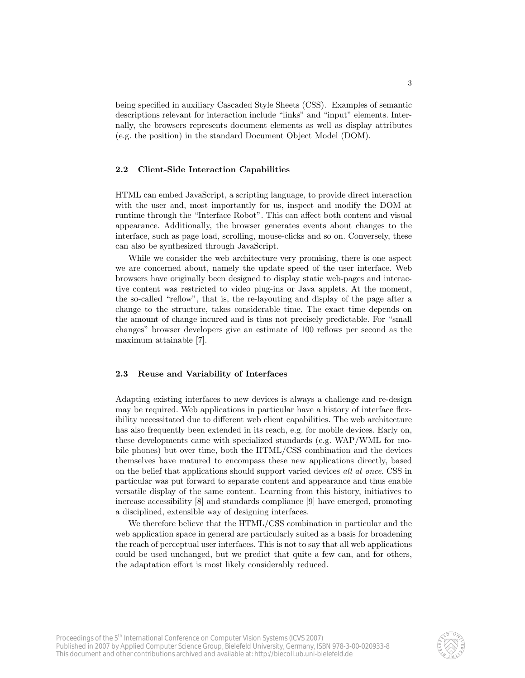being specified in auxiliary Cascaded Style Sheets (CSS). Examples of semantic descriptions relevant for interaction include "links" and "input" elements. Internally, the browsers represents document elements as well as display attributes (e.g. the position) in the standard Document Object Model (DOM).

### 2.2 Client-Side Interaction Capabilities

HTML can embed JavaScript, a scripting language, to provide direct interaction with the user and, most importantly for us, inspect and modify the DOM at runtime through the "Interface Robot". This can affect both content and visual appearance. Additionally, the browser generates events about changes to the interface, such as page load, scrolling, mouse-clicks and so on. Conversely, these can also be synthesized through JavaScript.

While we consider the web architecture very promising, there is one aspect we are concerned about, namely the update speed of the user interface. Web browsers have originally been designed to display static web-pages and interactive content was restricted to video plug-ins or Java applets. At the moment, the so-called "reflow", that is, the re-layouting and display of the page after a change to the structure, takes considerable time. The exact time depends on the amount of change incured and is thus not precisely predictable. For "small changes" browser developers give an estimate of 100 reflows per second as the maximum attainable [7].

#### 2.3 Reuse and Variability of Interfaces

Adapting existing interfaces to new devices is always a challenge and re-design may be required. Web applications in particular have a history of interface flexibility necessitated due to different web client capabilities. The web architecture has also frequently been extended in its reach, e.g. for mobile devices. Early on, these developments came with specialized standards (e.g. WAP/WML for mobile phones) but over time, both the HTML/CSS combination and the devices themselves have matured to encompass these new applications directly, based on the belief that applications should support varied devices all at once. CSS in particular was put forward to separate content and appearance and thus enable versatile display of the same content. Learning from this history, initiatives to increase accessibility [8] and standards compliance [9] have emerged, promoting a disciplined, extensible way of designing interfaces.

We therefore believe that the HTML/CSS combination in particular and the web application space in general are particularly suited as a basis for broadening the reach of perceptual user interfaces. This is not to say that all web applications could be used unchanged, but we predict that quite a few can, and for others, the adaptation effort is most likely considerably reduced.

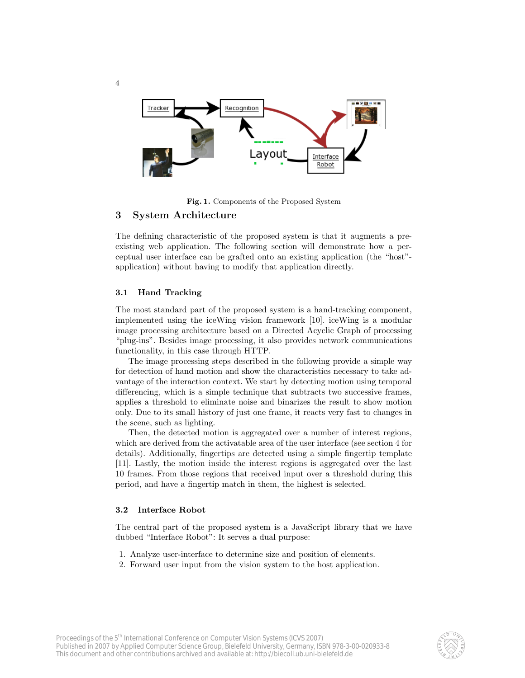

Fig. 1. Components of the Proposed System

# 3 System Architecture

The defining characteristic of the proposed system is that it augments a preexisting web application. The following section will demonstrate how a perceptual user interface can be grafted onto an existing application (the "host" application) without having to modify that application directly.

# 3.1 Hand Tracking

4

The most standard part of the proposed system is a hand-tracking component, implemented using the iceWing vision framework [10]. iceWing is a modular image processing architecture based on a Directed Acyclic Graph of processing "plug-ins". Besides image processing, it also provides network communications functionality, in this case through HTTP.

The image processing steps described in the following provide a simple way for detection of hand motion and show the characteristics necessary to take advantage of the interaction context. We start by detecting motion using temporal differencing, which is a simple technique that subtracts two successive frames, applies a threshold to eliminate noise and binarizes the result to show motion only. Due to its small history of just one frame, it reacts very fast to changes in the scene, such as lighting.

Then, the detected motion is aggregated over a number of interest regions, which are derived from the activatable area of the user interface (see section 4 for details). Additionally, fingertips are detected using a simple fingertip template [11]. Lastly, the motion inside the interest regions is aggregated over the last 10 frames. From those regions that received input over a threshold during this period, and have a fingertip match in them, the highest is selected.

#### 3.2 Interface Robot

The central part of the proposed system is a JavaScript library that we have dubbed "Interface Robot": It serves a dual purpose:

- 1. Analyze user-interface to determine size and position of elements.
- 2. Forward user input from the vision system to the host application.

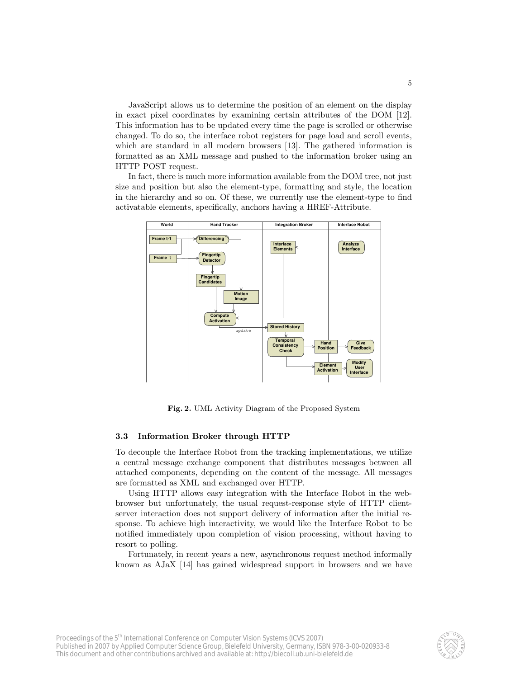JavaScript allows us to determine the position of an element on the display in exact pixel coordinates by examining certain attributes of the DOM [12]. This information has to be updated every time the page is scrolled or otherwise changed. To do so, the interface robot registers for page load and scroll events, which are standard in all modern browsers [13]. The gathered information is formatted as an XML message and pushed to the information broker using an HTTP POST request.

In fact, there is much more information available from the DOM tree, not just size and position but also the element-type, formatting and style, the location in the hierarchy and so on. Of these, we currently use the element-type to find activatable elements, specifically, anchors having a HREF-Attribute.



Fig. 2. UML Activity Diagram of the Proposed System

#### 3.3 Information Broker through HTTP

To decouple the Interface Robot from the tracking implementations, we utilize a central message exchange component that distributes messages between all attached components, depending on the content of the message. All messages are formatted as XML and exchanged over HTTP.

Using HTTP allows easy integration with the Interface Robot in the webbrowser but unfortunately, the usual request-response style of HTTP clientserver interaction does not support delivery of information after the initial response. To achieve high interactivity, we would like the Interface Robot to be notified immediately upon completion of vision processing, without having to resort to polling.

Fortunately, in recent years a new, asynchronous request method informally known as AJaX [14] has gained widespread support in browsers and we have

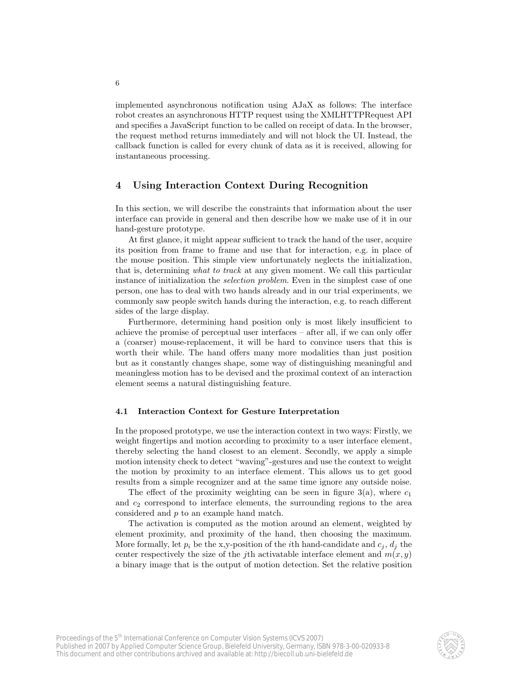implemented asynchronous notification using AJaX as follows: The interface robot creates an asynchronous HTTP request using the XMLHTTPRequest API and specifies a JavaScript function to be called on receipt of data. In the browser, the request method returns immediately and will not block the UI. Instead, the callback function is called for every chunk of data as it is received, allowing for instantaneous processing.

# 4 Using Interaction Context During Recognition

In this section, we will describe the constraints that information about the user interface can provide in general and then describe how we make use of it in our hand-gesture prototype.

At first glance, it might appear sufficient to track the hand of the user, acquire its position from frame to frame and use that for interaction, e.g. in place of the mouse position. This simple view unfortunately neglects the initialization, that is, determining what to track at any given moment. We call this particular instance of initialization the *selection problem*. Even in the simplest case of one person, one has to deal with two hands already and in our trial experiments, we commonly saw people switch hands during the interaction, e.g. to reach different sides of the large display.

Furthermore, determining hand position only is most likely insufficient to achieve the promise of perceptual user interfaces – after all, if we can only offer a (coarser) mouse-replacement, it will be hard to convince users that this is worth their while. The hand offers many more modalities than just position but as it constantly changes shape, some way of distinguishing meaningful and meaningless motion has to be devised and the proximal context of an interaction element seems a natural distinguishing feature.

# 4.1 Interaction Context for Gesture Interpretation

In the proposed prototype, we use the interaction context in two ways: Firstly, we weight fingertips and motion according to proximity to a user interface element, thereby selecting the hand closest to an element. Secondly, we apply a simple motion intensity check to detect "waving"-gestures and use the context to weight the motion by proximity to an interface element. This allows us to get good results from a simple recognizer and at the same time ignore any outside noise.

The effect of the proximity weighting can be seen in figure  $3(a)$ , where  $c_1$ and  $c_2$  correspond to interface elements, the surrounding regions to the area considered and p to an example hand match.

The activation is computed as the motion around an element, weighted by element proximity, and proximity of the hand, then choosing the maximum. More formally, let  $p_i$  be the x,y-position of the *i*th hand-candidate and  $c_j$ ,  $d_j$  the center respectively the size of the jth activatable interface element and  $m(x, y)$ a binary image that is the output of motion detection. Set the relative position

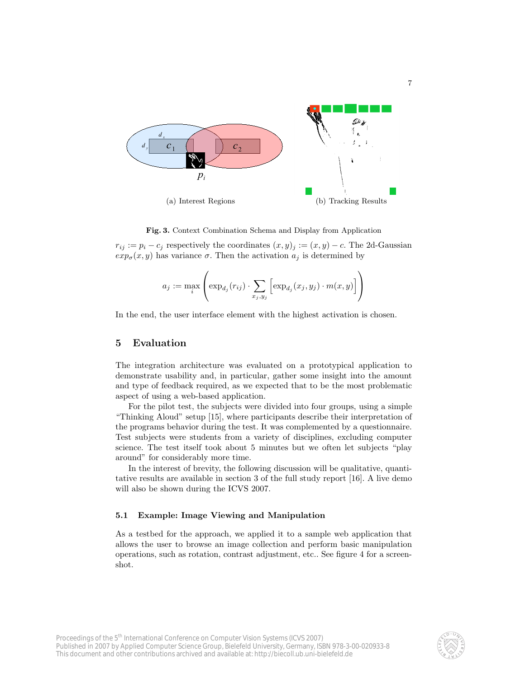

Fig. 3. Context Combination Schema and Display from Application

 $r_{ij} := p_i - c_j$  respectively the coordinates  $(x, y)_i := (x, y) - c$ . The 2d-Gaussian  $exp_{\sigma}(x, y)$  has variance  $\sigma$ . Then the activation  $a_i$  is determined by

$$
a_j := \max_i \left( \exp_{d_j}(r_{ij}) \cdot \sum_{x_j, y_j} \left[ \exp_{d_j}(x_j, y_j) \cdot m(x, y) \right] \right)
$$

In the end, the user interface element with the highest activation is chosen.

# 5 Evaluation

The integration architecture was evaluated on a prototypical application to demonstrate usability and, in particular, gather some insight into the amount and type of feedback required, as we expected that to be the most problematic aspect of using a web-based application.

For the pilot test, the subjects were divided into four groups, using a simple "Thinking Aloud" setup [15], where participants describe their interpretation of the programs behavior during the test. It was complemented by a questionnaire. Test subjects were students from a variety of disciplines, excluding computer science. The test itself took about 5 minutes but we often let subjects "play around" for considerably more time.

In the interest of brevity, the following discussion will be qualitative, quantitative results are available in section 3 of the full study report [16]. A live demo will also be shown during the ICVS 2007.

# 5.1 Example: Image Viewing and Manipulation

As a testbed for the approach, we applied it to a sample web application that allows the user to browse an image collection and perform basic manipulation operations, such as rotation, contrast adjustment, etc.. See figure 4 for a screenshot.

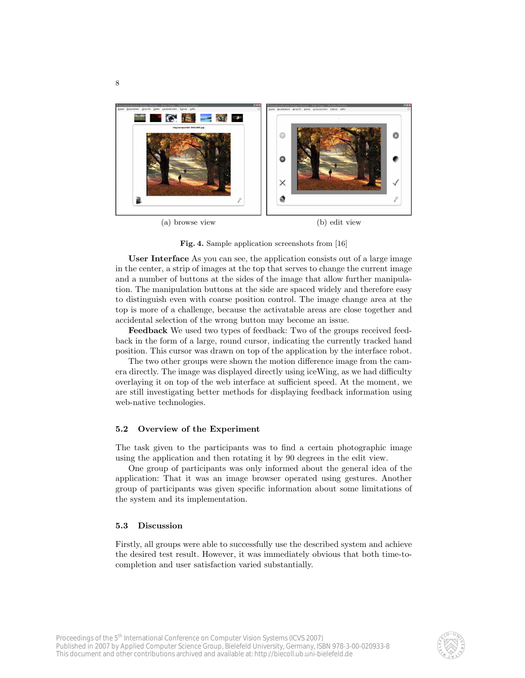

Fig. 4. Sample application screenshots from [16]

User Interface As you can see, the application consists out of a large image in the center, a strip of images at the top that serves to change the current image and a number of buttons at the sides of the image that allow further manipulation. The manipulation buttons at the side are spaced widely and therefore easy to distinguish even with coarse position control. The image change area at the top is more of a challenge, because the activatable areas are close together and accidental selection of the wrong button may become an issue.

Feedback We used two types of feedback: Two of the groups received feedback in the form of a large, round cursor, indicating the currently tracked hand position. This cursor was drawn on top of the application by the interface robot.

The two other groups were shown the motion difference image from the camera directly. The image was displayed directly using iceWing, as we had difficulty overlaying it on top of the web interface at sufficient speed. At the moment, we are still investigating better methods for displaying feedback information using web-native technologies.

#### 5.2 Overview of the Experiment

The task given to the participants was to find a certain photographic image using the application and then rotating it by 90 degrees in the edit view.

One group of participants was only informed about the general idea of the application: That it was an image browser operated using gestures. Another group of participants was given specific information about some limitations of the system and its implementation.

#### 5.3 Discussion

Firstly, all groups were able to successfully use the described system and achieve the desired test result. However, it was immediately obvious that both time-tocompletion and user satisfaction varied substantially.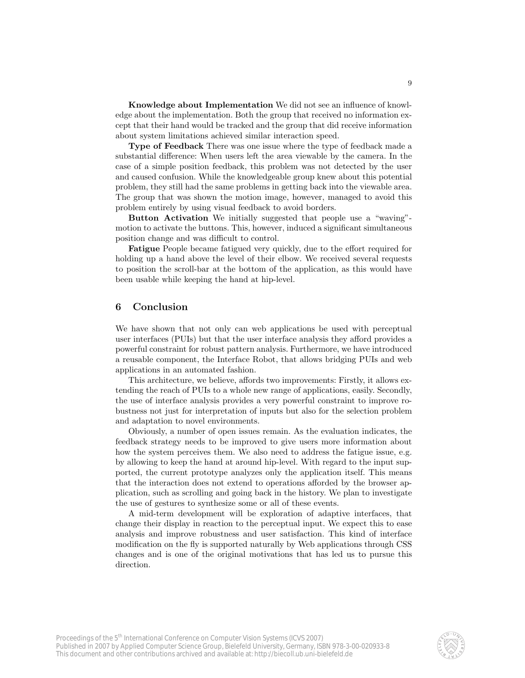Knowledge about Implementation We did not see an influence of knowledge about the implementation. Both the group that received no information except that their hand would be tracked and the group that did receive information about system limitations achieved similar interaction speed.

Type of Feedback There was one issue where the type of feedback made a substantial difference: When users left the area viewable by the camera. In the case of a simple position feedback, this problem was not detected by the user and caused confusion. While the knowledgeable group knew about this potential problem, they still had the same problems in getting back into the viewable area. The group that was shown the motion image, however, managed to avoid this problem entirely by using visual feedback to avoid borders.

Button Activation We initially suggested that people use a "waving" motion to activate the buttons. This, however, induced a significant simultaneous position change and was difficult to control.

Fatigue People became fatigued very quickly, due to the effort required for holding up a hand above the level of their elbow. We received several requests to position the scroll-bar at the bottom of the application, as this would have been usable while keeping the hand at hip-level.

# 6 Conclusion

We have shown that not only can web applications be used with perceptual user interfaces (PUIs) but that the user interface analysis they afford provides a powerful constraint for robust pattern analysis. Furthermore, we have introduced a reusable component, the Interface Robot, that allows bridging PUIs and web applications in an automated fashion.

This architecture, we believe, affords two improvements: Firstly, it allows extending the reach of PUIs to a whole new range of applications, easily. Secondly, the use of interface analysis provides a very powerful constraint to improve robustness not just for interpretation of inputs but also for the selection problem and adaptation to novel environments.

Obviously, a number of open issues remain. As the evaluation indicates, the feedback strategy needs to be improved to give users more information about how the system perceives them. We also need to address the fatigue issue, e.g. by allowing to keep the hand at around hip-level. With regard to the input supported, the current prototype analyzes only the application itself. This means that the interaction does not extend to operations afforded by the browser application, such as scrolling and going back in the history. We plan to investigate the use of gestures to synthesize some or all of these events.

A mid-term development will be exploration of adaptive interfaces, that change their display in reaction to the perceptual input. We expect this to ease analysis and improve robustness and user satisfaction. This kind of interface modification on the fly is supported naturally by Web applications through CSS changes and is one of the original motivations that has led us to pursue this direction.